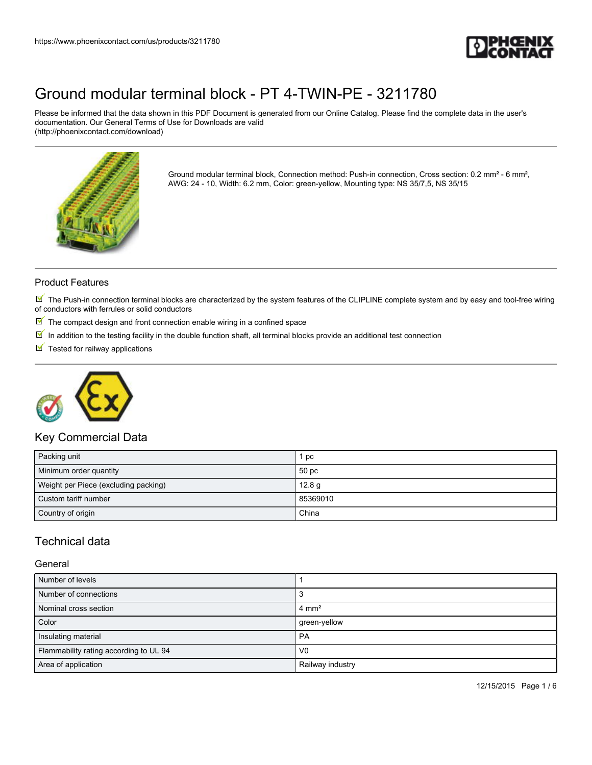

Please be informed that the data shown in this PDF Document is generated from our Online Catalog. Please find the complete data in the user's documentation. Our General Terms of Use for Downloads are valid (http://phoenixcontact.com/download)



Ground modular terminal block, Connection method: Push-in connection, Cross section: 0.2 mm² - 6 mm², AWG: 24 - 10, Width: 6.2 mm, Color: green-yellow, Mounting type: NS 35/7,5, NS 35/15

### Product Features

 $\mathbb N$  The Push-in connection terminal blocks are characterized by the system features of the CLIPLINE complete system and by easy and tool-free wiring of conductors with ferrules or solid conductors

- $\mathbb F$  The compact design and front connection enable wiring in a confined space
- $\overline{\mathbb{M}}$  In addition to the testing facility in the double function shaft, all terminal blocks provide an additional test connection
- $\blacksquare$  Tested for railway applications



## Key Commercial Data

| Packing unit                         | 1 pc              |
|--------------------------------------|-------------------|
| Minimum order quantity               | 50 pc             |
| Weight per Piece (excluding packing) | 12.8 <sub>g</sub> |
| Custom tariff number                 | 85369010          |
| Country of origin                    | China             |

## Technical data

#### General

| Number of levels                       |                  |
|----------------------------------------|------------------|
| Number of connections                  |                  |
| Nominal cross section                  | $4 \text{ mm}^2$ |
| Color                                  | green-yellow     |
| Insulating material                    | <b>PA</b>        |
| Flammability rating according to UL 94 | V <sub>0</sub>   |
| Area of application                    | Railway industry |

12/15/2015 Page 1 / 6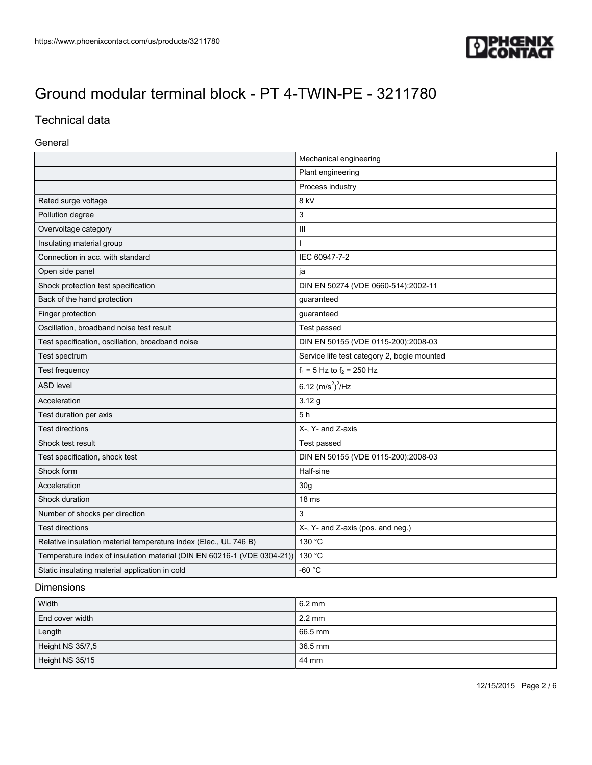

# Technical data

#### General

| Mechanical engineering                                                  |                                             |  |
|-------------------------------------------------------------------------|---------------------------------------------|--|
|                                                                         | Plant engineering                           |  |
|                                                                         | Process industry                            |  |
| Rated surge voltage                                                     | 8 kV                                        |  |
| Pollution degree                                                        | 3                                           |  |
| Overvoltage category                                                    | Ш                                           |  |
| Insulating material group                                               | ı                                           |  |
| Connection in acc. with standard                                        | IEC 60947-7-2                               |  |
| Open side panel                                                         | ja                                          |  |
| Shock protection test specification                                     | DIN EN 50274 (VDE 0660-514):2002-11         |  |
| Back of the hand protection                                             | guaranteed                                  |  |
| Finger protection                                                       | guaranteed                                  |  |
| Oscillation, broadband noise test result                                | Test passed                                 |  |
| Test specification, oscillation, broadband noise                        | DIN EN 50155 (VDE 0115-200):2008-03         |  |
| Test spectrum                                                           | Service life test category 2, bogie mounted |  |
| Test frequency                                                          | $f_1 = 5$ Hz to $f_2 = 250$ Hz              |  |
| <b>ASD level</b>                                                        | 6.12 $(m/s^2)^2$ /Hz                        |  |
| Acceleration                                                            | 3.12g                                       |  |
| Test duration per axis                                                  | 5h                                          |  |
| <b>Test directions</b>                                                  | X-, Y- and Z-axis                           |  |
| Shock test result                                                       | Test passed                                 |  |
| Test specification, shock test                                          | DIN EN 50155 (VDE 0115-200):2008-03         |  |
| Shock form                                                              | Half-sine                                   |  |
| Acceleration                                                            | 30 <sub>g</sub>                             |  |
| Shock duration                                                          | 18 <sub>ms</sub>                            |  |
| Number of shocks per direction                                          | 3                                           |  |
| <b>Test directions</b>                                                  | X-, Y- and Z-axis (pos. and neg.)           |  |
| Relative insulation material temperature index (Elec., UL 746 B)        | 130 °C                                      |  |
| Temperature index of insulation material (DIN EN 60216-1 (VDE 0304-21)) | 130 °C                                      |  |
| Static insulating material application in cold                          | $-60 °C$                                    |  |

### Dimensions

| Width            | $16.2 \text{ mm}$ |
|------------------|-------------------|
| End cover width  | 2.2 mm            |
| Length           | 66.5 mm           |
| Height NS 35/7,5 | 36.5 mm           |
| Height NS 35/15  | 44 mm             |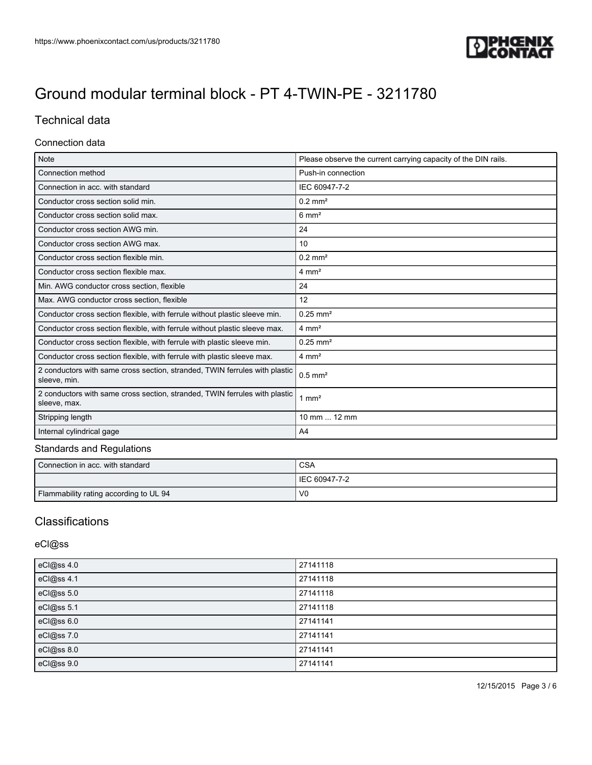

# Technical data

#### Connection data

| <b>Note</b>                                                                                | Please observe the current carrying capacity of the DIN rails. |
|--------------------------------------------------------------------------------------------|----------------------------------------------------------------|
| Connection method                                                                          | Push-in connection                                             |
| Connection in acc. with standard                                                           | IEC 60947-7-2                                                  |
| Conductor cross section solid min.                                                         | $0.2$ mm <sup>2</sup>                                          |
| Conductor cross section solid max.                                                         | $6 \text{ mm}^2$                                               |
| Conductor cross section AWG min.                                                           | 24                                                             |
| Conductor cross section AWG max.                                                           | 10                                                             |
| Conductor cross section flexible min.                                                      | $0.2$ mm <sup>2</sup>                                          |
| Conductor cross section flexible max.                                                      | $4 \text{ mm}^2$                                               |
| Min. AWG conductor cross section, flexible                                                 | 24                                                             |
| Max. AWG conductor cross section, flexible                                                 | 12                                                             |
| Conductor cross section flexible, with ferrule without plastic sleeve min.                 | $0.25$ mm <sup>2</sup>                                         |
| Conductor cross section flexible, with ferrule without plastic sleeve max.                 | $4 \text{ mm}^2$                                               |
| Conductor cross section flexible, with ferrule with plastic sleeve min.                    | $0.25$ mm <sup>2</sup>                                         |
| Conductor cross section flexible, with ferrule with plastic sleeve max.                    | $4 \text{ mm}^2$                                               |
| 2 conductors with same cross section, stranded, TWIN ferrules with plastic<br>sleeve, min. | $0.5$ mm <sup>2</sup>                                          |
| 2 conductors with same cross section, stranded, TWIN ferrules with plastic<br>sleeve, max. | $1 \text{ mm}^2$                                               |
| Stripping length                                                                           | 10 mm  12 mm                                                   |
| Internal cylindrical gage                                                                  | A <sub>4</sub>                                                 |

## Standards and Regulations

| Connection in acc. with standard       | <b>CSA</b>      |
|----------------------------------------|-----------------|
|                                        | l IEC 60947-7-2 |
| Flammability rating according to UL 94 | V <sub>0</sub>  |

# **Classifications**

### eCl@ss

| eCl@ss 4.0 | 27141118 |
|------------|----------|
| eCl@ss 4.1 | 27141118 |
| eCl@ss 5.0 | 27141118 |
| eCl@ss 5.1 | 27141118 |
| eCl@ss 6.0 | 27141141 |
| eCl@ss 7.0 | 27141141 |
| eCl@ss 8.0 | 27141141 |
| eCl@ss 9.0 | 27141141 |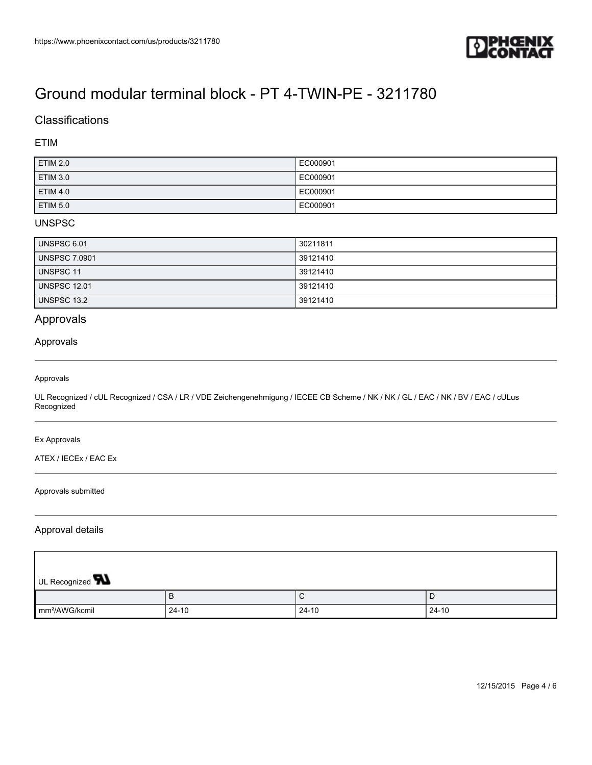

## **Classifications**

### ETIM

| ETIM 2.0            | EC000901 |
|---------------------|----------|
| ETIM 3.0            | EC000901 |
| <b>ETIM 4.0</b>     | EC000901 |
| ETIM <sub>5.0</sub> | EC000901 |

### UNSPSC

| UNSPSC 6.01          | 30211811 |
|----------------------|----------|
| <b>UNSPSC 7.0901</b> | 39121410 |
| UNSPSC 11            | 39121410 |
| <b>UNSPSC 12.01</b>  | 39121410 |
| UNSPSC 13.2          | 39121410 |

## Approvals

#### Approvals

#### Approvals

UL Recognized / cUL Recognized / CSA / LR / VDE Zeichengenehmigung / IECEE CB Scheme / NK / NK / GL / EAC / NK / BV / EAC / cULus Recognized

#### Ex Approvals

ATEX / IECEx / EAC Ex

#### Approvals submitted

#### Approval details

| UL Recognized <b>W</b>     |         |         |       |
|----------------------------|---------|---------|-------|
|                            | в       | ◡       | D     |
| mm <sup>2</sup> /AWG/kcmil | $24-10$ | $24-10$ | 24-10 |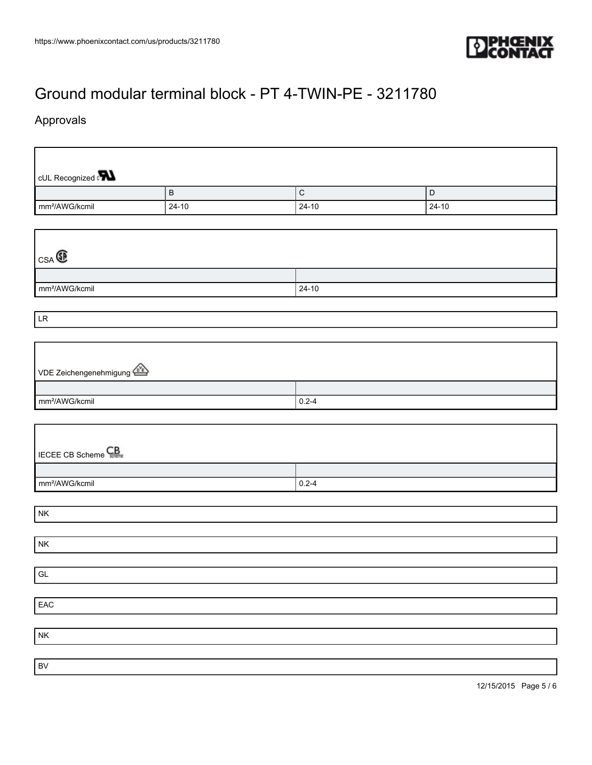

٦

# [Ground modular terminal block - PT 4-TWIN-PE - 3211780](https://www.phoenixcontact.com/us/products/3211780)

# Approvals

 $\Gamma$ 

| cUL Recognized <b>PLL</b>                               | $\sf B$   | $\mathsf C$ | $\mathsf D$ |  |  |
|---------------------------------------------------------|-----------|-------------|-------------|--|--|
| mm <sup>2</sup> /AWG/kcmil                              | $24 - 10$ | $24-10$     | $24 - 10$   |  |  |
|                                                         |           |             |             |  |  |
| $_{\text{CSA}}$ $\textcircled{\scriptsize{\textsf{R}}}$ |           |             |             |  |  |
|                                                         |           |             |             |  |  |
| mm <sup>2</sup> /AWG/kcmil                              |           | $24 - 10$   |             |  |  |
| LR                                                      |           |             |             |  |  |
|                                                         |           |             |             |  |  |
| VDE Zeichengenehmigung                                  |           |             |             |  |  |
|                                                         |           |             |             |  |  |
| mm <sup>2</sup> /AWG/kcmil                              |           | $0.2 - 4$   |             |  |  |
|                                                         |           |             |             |  |  |
| <b>IECEE CB Scheme</b>                                  |           |             |             |  |  |
|                                                         |           |             |             |  |  |
| mm <sup>2</sup> /AWG/kcmil<br>$0.2 - 4$                 |           |             |             |  |  |
| ${\sf NK}$                                              |           |             |             |  |  |
|                                                         |           |             |             |  |  |
| ${\sf NK}$                                              |           |             |             |  |  |
|                                                         |           |             |             |  |  |
| $\mathsf{GL}% _{k}(G,\mathbb{R})$                       |           |             |             |  |  |
|                                                         |           |             |             |  |  |
| EAC                                                     |           |             |             |  |  |
|                                                         |           |             |             |  |  |
| ${\sf N}{\sf K}$                                        |           |             |             |  |  |
|                                                         |           |             |             |  |  |
| $\mathsf{BV}$                                           |           |             |             |  |  |

12/15/2015 Page 5 / 6